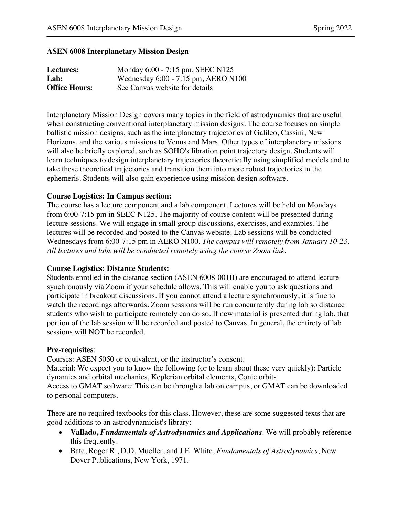#### **ASEN 6008 Interplanetary Mission Design**

| Lectures:            | Monday 6:00 - 7:15 pm, SEEC N125    |
|----------------------|-------------------------------------|
| Lab:                 | Wednesday 6:00 - 7:15 pm, AERO N100 |
| <b>Office Hours:</b> | See Canvas website for details      |

Interplanetary Mission Design covers many topics in the field of astrodynamics that are useful when constructing conventional interplanetary mission designs. The course focuses on simple ballistic mission designs, such as the interplanetary trajectories of Galileo, Cassini, New Horizons, and the various missions to Venus and Mars. Other types of interplanetary missions will also be briefly explored, such as SOHO's libration point trajectory design. Students will learn techniques to design interplanetary trajectories theoretically using simplified models and to take these theoretical trajectories and transition them into more robust trajectories in the ephemeris. Students will also gain experience using mission design software.

### **Course Logistics: In Campus section:**

The course has a lecture component and a lab component. Lectures will be held on Mondays from 6:00-7:15 pm in SEEC N125. The majority of course content will be presented during lecture sessions. We will engage in small group discussions, exercises, and examples. The lectures will be recorded and posted to the Canvas website. Lab sessions will be conducted Wednesdays from 6:00-7:15 pm in AERO N100. *The campus will remotely from January 10-23. All lectures and labs will be conducted remotely using the course Zoom link*.

#### **Course Logistics: Distance Students:**

Students enrolled in the distance section (ASEN 6008-001B) are encouraged to attend lecture synchronously via Zoom if your schedule allows. This will enable you to ask questions and participate in breakout discussions. If you cannot attend a lecture synchronously, it is fine to watch the recordings afterwards. Zoom sessions will be run concurrently during lab so distance students who wish to participate remotely can do so. If new material is presented during lab, that portion of the lab session will be recorded and posted to Canvas. In general, the entirety of lab sessions will NOT be recorded.

#### **Pre-requisites**:

Courses: ASEN 5050 or equivalent, or the instructor's consent.

Material: We expect you to know the following (or to learn about these very quickly): Particle dynamics and orbital mechanics, Keplerian orbital elements, Conic orbits.

Access to GMAT software: This can be through a lab on campus, or GMAT can be downloaded to personal computers.

There are no required textbooks for this class. However, these are some suggested texts that are good additions to an astrodynamicist's library:

- **Vallado,** *Fundamentals of Astrodynamics and Applications*. We will probably reference this frequently.
- Bate, Roger R., D.D. Mueller, and J.E. White, *Fundamentals of Astrodynamics*, New Dover Publications, New York, 1971.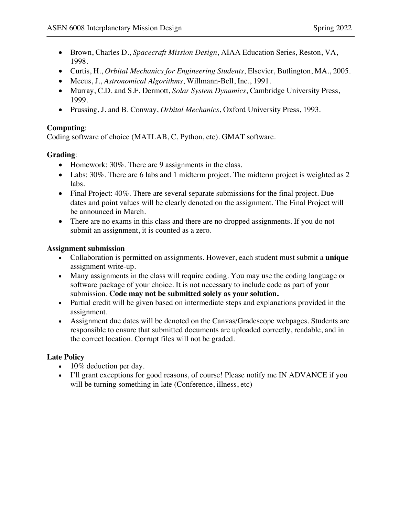- Brown, Charles D., *Spacecraft Mission Design*, AIAA Education Series, Reston, VA, 1998.
- Curtis, H., *Orbital Mechanics for Engineering Students*, Elsevier, Butlington, MA., 2005.
- Meeus, J., *Astronomical Algorithms*, Willmann-Bell, Inc., 1991.
- Murray, C.D. and S.F. Dermott, *Solar System Dynamics*, Cambridge University Press, 1999.
- Prussing, J. and B. Conway, *Orbital Mechanics*, Oxford University Press, 1993.

# **Computing**:

Coding software of choice (MATLAB, C, Python, etc). GMAT software.

## **Grading**:

- Homework: 30%. There are 9 assignments in the class.
- Labs: 30%. There are 6 labs and 1 midterm project. The midterm project is weighted as 2 labs.
- Final Project: 40%. There are several separate submissions for the final project. Due dates and point values will be clearly denoted on the assignment. The Final Project will be announced in March.
- There are no exams in this class and there are no dropped assignments. If you do not submit an assignment, it is counted as a zero.

## **Assignment submission**

- Collaboration is permitted on assignments. However, each student must submit a **unique** assignment write-up.
- Many assignments in the class will require coding. You may use the coding language or software package of your choice. It is not necessary to include code as part of your submission. **Code may not be submitted solely as your solution.**
- Partial credit will be given based on intermediate steps and explanations provided in the assignment.
- Assignment due dates will be denoted on the Canvas/Gradescope webpages. Students are responsible to ensure that submitted documents are uploaded correctly, readable, and in the correct location. Corrupt files will not be graded.

## **Late Policy**

- 10% deduction per day.
- I'll grant exceptions for good reasons, of course! Please notify me IN ADVANCE if you will be turning something in late (Conference, illness, etc)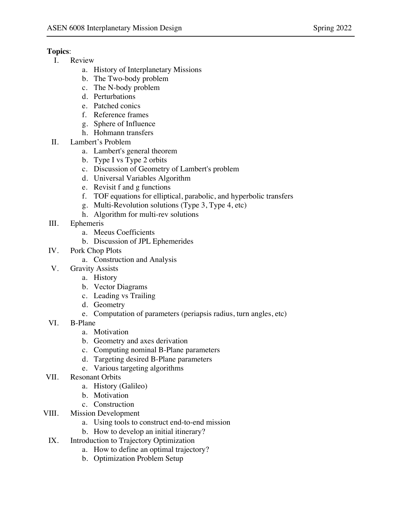## **Topics**:

- I. Review
	- a. History of Interplanetary Missions
	- b. The Two-body problem
	- c. The N-body problem
	- d. Perturbations
	- e. Patched conics
	- f. Reference frames
	- g. Sphere of Influence
	- h. Hohmann transfers
- II. Lambert's Problem
	- a. Lambert's general theorem
	- b. Type I vs Type 2 orbits
	- c. Discussion of Geometry of Lambert's problem
	- d. Universal Variables Algorithm
	- e. Revisit f and g functions
	- f. TOF equations for elliptical, parabolic, and hyperbolic transfers
	- g. Multi-Revolution solutions (Type 3, Type 4, etc)
	- h. Algorithm for multi-rev solutions
- III. Ephemeris
	- a. Meeus Coefficients
	- b. Discussion of JPL Ephemerides
- IV. Pork Chop Plots
	- a. Construction and Analysis
- V. Gravity Assists
	- a. History
	- b. Vector Diagrams
	- c. Leading vs Trailing
	- d. Geometry
	- e. Computation of parameters (periapsis radius, turn angles, etc)
- VI. B-Plane
	- a. Motivation
	- b. Geometry and axes derivation
	- c. Computing nominal B-Plane parameters
	- d. Targeting desired B-Plane parameters
	- e. Various targeting algorithms
- VII. Resonant Orbits
	- a. History (Galileo)
	- b. Motivation
	- c. Construction
- VIII. Mission Development
	- a. Using tools to construct end-to-end mission
	- b. How to develop an initial itinerary?
	- IX. Introduction to Trajectory Optimization
		- a. How to define an optimal trajectory?
		- b. Optimization Problem Setup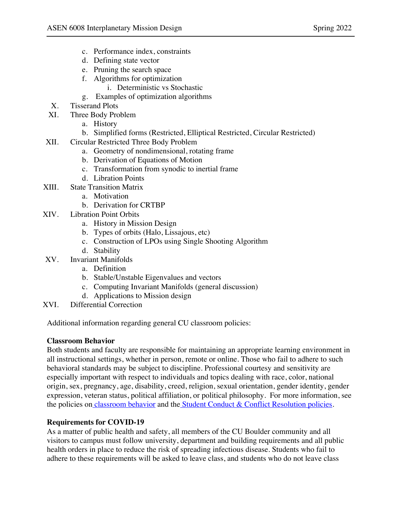- c. Performance index, constraints
- d. Defining state vector
- e. Pruning the search space
- f. Algorithms for optimization
	- i. Deterministic vs Stochastic
- g. Examples of optimization algorithms
- X. Tisserand Plots
- XI. Three Body Problem
	- a. History
	- b. Simplified forms (Restricted, Elliptical Restricted, Circular Restricted)
- XII. Circular Restricted Three Body Problem
	- a. Geometry of nondimensional, rotating frame
	- b. Derivation of Equations of Motion
	- c. Transformation from synodic to inertial frame
	- d. Libration Points
- XIII. State Transition Matrix
	- a. Motivation
	- b. Derivation for CRTBP
- XIV. Libration Point Orbits
	- a. History in Mission Design
	- b. Types of orbits (Halo, Lissajous, etc)
	- c. Construction of LPOs using Single Shooting Algorithm
	- d. Stability
- XV. Invariant Manifolds
	- a. Definition
	- b. Stable/Unstable Eigenvalues and vectors
	- c. Computing Invariant Manifolds (general discussion)
	- d. Applications to Mission design
- XVI. Differential Correction

Additional information regarding general CU classroom policies:

### **Classroom Behavior**

Both students and faculty are responsible for maintaining an appropriate learning environment in all instructional settings, whether in person, remote or online. Those who fail to adhere to such behavioral standards may be subject to discipline. Professional courtesy and sensitivity are especially important with respect to individuals and topics dealing with race, color, national origin, sex, pregnancy, age, disability, creed, religion, sexual orientation, gender identity, gender expression, veteran status, political affiliation, or political philosophy. For more information, see the policies on classroom behavior and the Student Conduct & Conflict Resolution policies.

### **Requirements for COVID-19**

As a matter of public health and safety, all members of the CU Boulder community and all visitors to campus must follow university, department and building requirements and all public health orders in place to reduce the risk of spreading infectious disease. Students who fail to adhere to these requirements will be asked to leave class, and students who do not leave class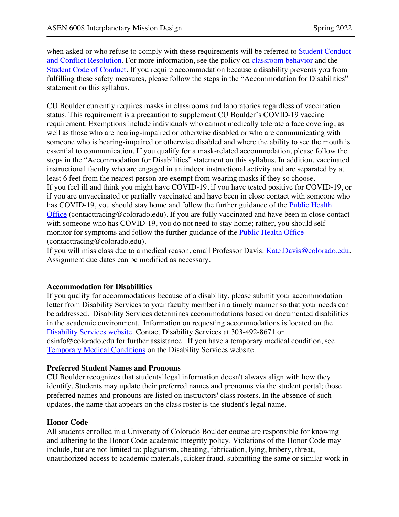when asked or who refuse to comply with these requirements will be referred to Student Conduct and Conflict Resolution. For more information, see the policy on classroom behavior and the Student Code of Conduct. If you require accommodation because a disability prevents you from fulfilling these safety measures, please follow the steps in the "Accommodation for Disabilities" statement on this syllabus.

CU Boulder currently requires masks in classrooms and laboratories regardless of vaccination status. This requirement is a precaution to supplement CU Boulder's COVID-19 vaccine requirement. Exemptions include individuals who cannot medically tolerate a face covering, as well as those who are hearing-impaired or otherwise disabled or who are communicating with someone who is hearing-impaired or otherwise disabled and where the ability to see the mouth is essential to communication. If you qualify for a mask-related accommodation, please follow the steps in the "Accommodation for Disabilities" statement on this syllabus. In addition, vaccinated instructional faculty who are engaged in an indoor instructional activity and are separated by at least 6 feet from the nearest person are exempt from wearing masks if they so choose. If you feel ill and think you might have COVID-19, if you have tested positive for COVID-19, or if you are unvaccinated or partially vaccinated and have been in close contact with someone who has COVID-19, you should stay home and follow the further guidance of the Public Health Office (contacttracing@colorado.edu). If you are fully vaccinated and have been in close contact with someone who has COVID-19, you do not need to stay home; rather, you should selfmonitor for symptoms and follow the further guidance of the Public Health Office (contacttracing@colorado.edu).

If you will miss class due to a medical reason, email Professor Davis: Kate.Davis@colorado.edu. Assignment due dates can be modified as necessary.

### **Accommodation for Disabilities**

If you qualify for accommodations because of a disability, please submit your accommodation letter from Disability Services to your faculty member in a timely manner so that your needs can be addressed. Disability Services determines accommodations based on documented disabilities in the academic environment. Information on requesting accommodations is located on the Disability Services website. Contact Disability Services at 303-492-8671 or dsinfo@colorado.edu for further assistance. If you have a temporary medical condition, see Temporary Medical Conditions on the Disability Services website.

### **Preferred Student Names and Pronouns**

CU Boulder recognizes that students' legal information doesn't always align with how they identify. Students may update their preferred names and pronouns via the student portal; those preferred names and pronouns are listed on instructors' class rosters. In the absence of such updates, the name that appears on the class roster is the student's legal name.

#### **Honor Code**

All students enrolled in a University of Colorado Boulder course are responsible for knowing and adhering to the Honor Code academic integrity policy. Violations of the Honor Code may include, but are not limited to: plagiarism, cheating, fabrication, lying, bribery, threat, unauthorized access to academic materials, clicker fraud, submitting the same or similar work in